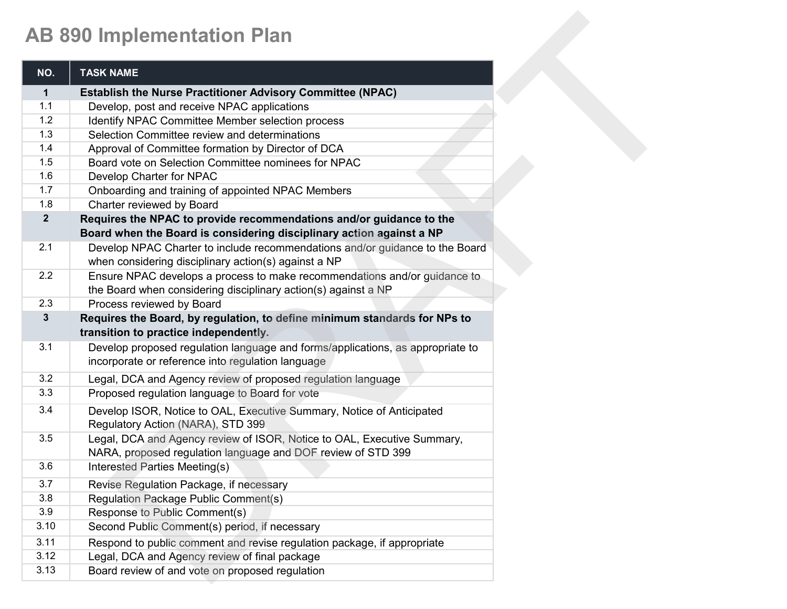## **AB 890 Implementation Plan**

|                | <b>AB 890 Implementation Plan</b>                                              |
|----------------|--------------------------------------------------------------------------------|
| NO.            | <b>TASK NAME</b>                                                               |
| $\mathbf 1$    | <b>Establish the Nurse Practitioner Advisory Committee (NPAC)</b>              |
| 1.1            | Develop, post and receive NPAC applications                                    |
| 1.2            | Identify NPAC Committee Member selection process                               |
| 1.3            | Selection Committee review and determinations                                  |
| 1.4            | Approval of Committee formation by Director of DCA                             |
| 1.5            | Board vote on Selection Committee nominees for NPAC                            |
| 1.6            | Develop Charter for NPAC                                                       |
| 1.7            | Onboarding and training of appointed NPAC Members                              |
| 1.8            | Charter reviewed by Board                                                      |
| $\overline{2}$ | Requires the NPAC to provide recommendations and/or guidance to the            |
|                | Board when the Board is considering disciplinary action against a NP           |
| 2.1            | Develop NPAC Charter to include recommendations and/or guidance to the Board   |
|                | when considering disciplinary action(s) against a NP                           |
| 2.2            | Ensure NPAC develops a process to make recommendations and/or guidance to      |
|                | the Board when considering disciplinary action(s) against a NP                 |
| 2.3            | Process reviewed by Board                                                      |
| 3              | Requires the Board, by regulation, to define minimum standards for NPs to      |
|                | transition to practice independently.                                          |
| 3.1            | Develop proposed regulation language and forms/applications, as appropriate to |
|                | incorporate or reference into regulation language                              |
| 3.2            | Legal, DCA and Agency review of proposed regulation language                   |
| 3.3            | Proposed regulation language to Board for vote                                 |
| 3.4            | Develop ISOR, Notice to OAL, Executive Summary, Notice of Anticipated          |
|                | Regulatory Action (NARA), STD 399                                              |
| 3.5            | Legal, DCA and Agency review of ISOR, Notice to OAL, Executive Summary,        |
|                | NARA, proposed regulation language and DOF review of STD 399                   |
| 3.6            | <b>Interested Parties Meeting(s)</b>                                           |
| 3.7            | Revise Regulation Package, if necessary                                        |
| 3.8            | Regulation Package Public Comment(s)                                           |
| 3.9            | Response to Public Comment(s)                                                  |
| 3.10           | Second Public Comment(s) period, if necessary                                  |
| 3.11           | Respond to public comment and revise regulation package, if appropriate        |
| 3.12           | Legal, DCA and Agency review of final package                                  |
| 3.13           | Board review of and vote on proposed regulation                                |